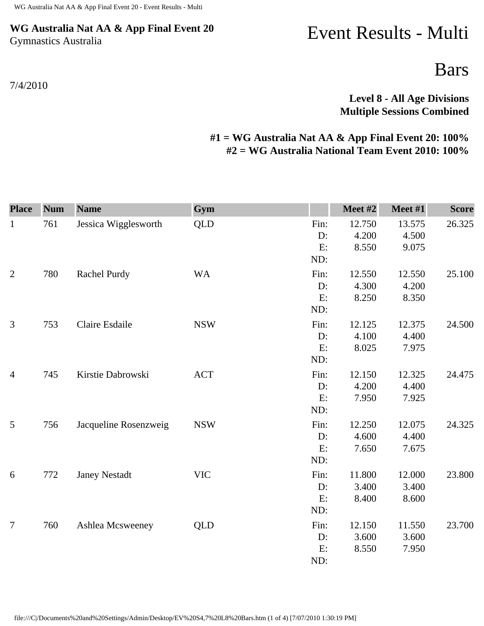## **WG Australia Nat AA & App Final Event 20** Gymnastics Australia

## Event Results - Multi

Bars

**Level 8 - All Age Divisions Multiple Sessions Combined** 

## **#1 = WG Australia Nat AA & App Final Event 20: 100% #2 = WG Australia National Team Event 2010: 100%**

| <b>Place</b>   | <b>Num</b> | <b>Name</b>           | Gym        |                            | Meet #2                  | Meet #1                  | <b>Score</b> |
|----------------|------------|-----------------------|------------|----------------------------|--------------------------|--------------------------|--------------|
| $\mathbf{1}$   | 761        | Jessica Wigglesworth  | <b>QLD</b> | Fin:<br>D:<br>E:<br>ND:    | 12.750<br>4.200<br>8.550 | 13.575<br>4.500<br>9.075 | 26.325       |
| $\mathfrak{2}$ | 780        | Rachel Purdy          | <b>WA</b>  | Fin:<br>D:<br>E:<br>ND:    | 12.550<br>4.300<br>8.250 | 12.550<br>4.200<br>8.350 | 25.100       |
| 3              | 753        | Claire Esdaile        | <b>NSW</b> | Fin:<br>$D$ :<br>E:<br>ND: | 12.125<br>4.100<br>8.025 | 12.375<br>4.400<br>7.975 | 24.500       |
| $\overline{4}$ | 745        | Kirstie Dabrowski     | <b>ACT</b> | Fin:<br>D:<br>E:<br>ND:    | 12.150<br>4.200<br>7.950 | 12.325<br>4.400<br>7.925 | 24.475       |
| 5              | 756        | Jacqueline Rosenzweig | <b>NSW</b> | Fin:<br>D:<br>E:<br>ND:    | 12.250<br>4.600<br>7.650 | 12.075<br>4.400<br>7.675 | 24.325       |
| 6              | 772        | <b>Janey Nestadt</b>  | <b>VIC</b> | Fin:<br>D:<br>E:<br>ND:    | 11.800<br>3.400<br>8.400 | 12.000<br>3.400<br>8.600 | 23.800       |
| $\overline{7}$ | 760        | Ashlea Mcsweeney      | <b>QLD</b> | Fin:<br>D:<br>E:<br>ND:    | 12.150<br>3.600<br>8.550 | 11.550<br>3.600<br>7.950 | 23.700       |

7/4/2010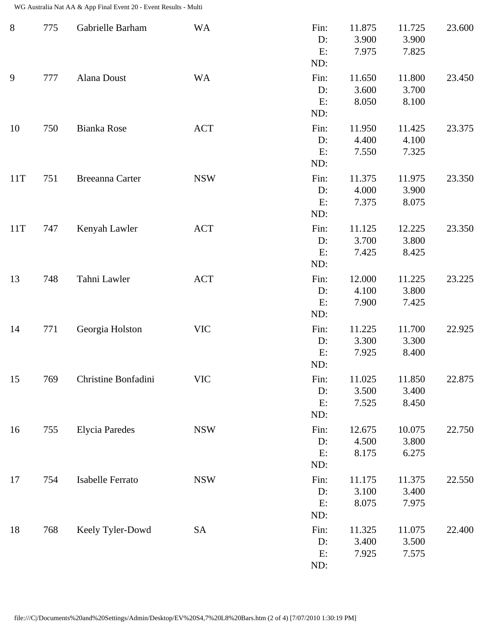WG Australia Nat AA & App Final Event 20 - Event Results - Multi

| $8\phantom{1}$ | 775 | Gabrielle Barham      | <b>WA</b>  | Fin:<br>D:<br>E:<br>ND:    | 11.875<br>3.900<br>7.975 | 11.725<br>3.900<br>7.825 | 23.600 |
|----------------|-----|-----------------------|------------|----------------------------|--------------------------|--------------------------|--------|
| 9              | 777 | Alana Doust           | <b>WA</b>  | Fin:<br>$D$ :<br>E:<br>ND: | 11.650<br>3.600<br>8.050 | 11.800<br>3.700<br>8.100 | 23.450 |
| 10             | 750 | Bianka Rose           | <b>ACT</b> | Fin:<br>D:<br>E:<br>ND:    | 11.950<br>4.400<br>7.550 | 11.425<br>4.100<br>7.325 | 23.375 |
| 11T            | 751 | Breeanna Carter       | <b>NSW</b> | Fin:<br>$D$ :<br>E:<br>ND: | 11.375<br>4.000<br>7.375 | 11.975<br>3.900<br>8.075 | 23.350 |
| 11T            | 747 | Kenyah Lawler         | <b>ACT</b> | Fin:<br>$D$ :<br>E:<br>ND: | 11.125<br>3.700<br>7.425 | 12.225<br>3.800<br>8.425 | 23.350 |
| 13             | 748 | Tahni Lawler          | <b>ACT</b> | Fin:<br>D:<br>E:<br>ND:    | 12.000<br>4.100<br>7.900 | 11.225<br>3.800<br>7.425 | 23.225 |
| 14             | 771 | Georgia Holston       | <b>VIC</b> | Fin:<br>D:<br>E:<br>ND:    | 11.225<br>3.300<br>7.925 | 11.700<br>3.300<br>8.400 | 22.925 |
| 15             | 769 | Christine Bonfadini   | <b>VIC</b> | Fin:<br>D:<br>E:<br>ND:    | 11.025<br>3.500<br>7.525 | 11.850<br>3.400<br>8.450 | 22.875 |
| 16             | 755 | <b>Elycia Paredes</b> | <b>NSW</b> | Fin:<br>$D$ :<br>E:<br>ND: | 12.675<br>4.500<br>8.175 | 10.075<br>3.800<br>6.275 | 22.750 |
| 17             | 754 | Isabelle Ferrato      | <b>NSW</b> | Fin:<br>D:<br>E:<br>ND:    | 11.175<br>3.100<br>8.075 | 11.375<br>3.400<br>7.975 | 22.550 |
| 18             | 768 | Keely Tyler-Dowd      | <b>SA</b>  | Fin:<br>D:<br>E:<br>ND:    | 11.325<br>3.400<br>7.925 | 11.075<br>3.500<br>7.575 | 22.400 |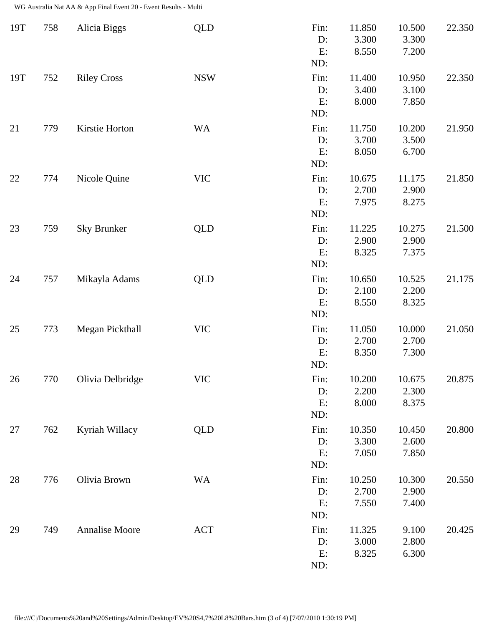WG Australia Nat AA & App Final Event 20 - Event Results - Multi

| 19T | 758 | Alicia Biggs          | <b>QLD</b> | Fin:<br>D:<br>E:<br>ND:    | 11.850<br>3.300<br>8.550 | 10.500<br>3.300<br>7.200 | 22.350 |
|-----|-----|-----------------------|------------|----------------------------|--------------------------|--------------------------|--------|
| 19T | 752 | <b>Riley Cross</b>    | <b>NSW</b> | Fin:<br>$D$ :<br>E:<br>ND: | 11.400<br>3.400<br>8.000 | 10.950<br>3.100<br>7.850 | 22.350 |
| 21  | 779 | Kirstie Horton        | <b>WA</b>  | Fin:<br>D:<br>E:<br>ND:    | 11.750<br>3.700<br>8.050 | 10.200<br>3.500<br>6.700 | 21.950 |
| 22  | 774 | Nicole Quine          | <b>VIC</b> | Fin:<br>D:<br>E:<br>ND:    | 10.675<br>2.700<br>7.975 | 11.175<br>2.900<br>8.275 | 21.850 |
| 23  | 759 | <b>Sky Brunker</b>    | <b>QLD</b> | Fin:<br>$D$ :<br>E:<br>ND: | 11.225<br>2.900<br>8.325 | 10.275<br>2.900<br>7.375 | 21.500 |
| 24  | 757 | Mikayla Adams         | <b>QLD</b> | Fin:<br>D:<br>E:<br>ND:    | 10.650<br>2.100<br>8.550 | 10.525<br>2.200<br>8.325 | 21.175 |
| 25  | 773 | Megan Pickthall       | <b>VIC</b> | Fin:<br>D:<br>E:<br>ND:    | 11.050<br>2.700<br>8.350 | 10.000<br>2.700<br>7.300 | 21.050 |
| 26  | 770 | Olivia Delbridge      | <b>VIC</b> | Fin:<br>D:<br>E:<br>ND:    | 10.200<br>2.200<br>8.000 | 10.675<br>2.300<br>8.375 | 20.875 |
| 27  | 762 | Kyriah Willacy        | <b>QLD</b> | Fin:<br>$D$ :<br>E:<br>ND: | 10.350<br>3.300<br>7.050 | 10.450<br>2.600<br>7.850 | 20.800 |
| 28  | 776 | Olivia Brown          | <b>WA</b>  | Fin:<br>$D$ :<br>E:<br>ND: | 10.250<br>2.700<br>7.550 | 10.300<br>2.900<br>7.400 | 20.550 |
| 29  | 749 | <b>Annalise Moore</b> | <b>ACT</b> | Fin:<br>D:<br>E:<br>ND:    | 11.325<br>3.000<br>8.325 | 9.100<br>2.800<br>6.300  | 20.425 |